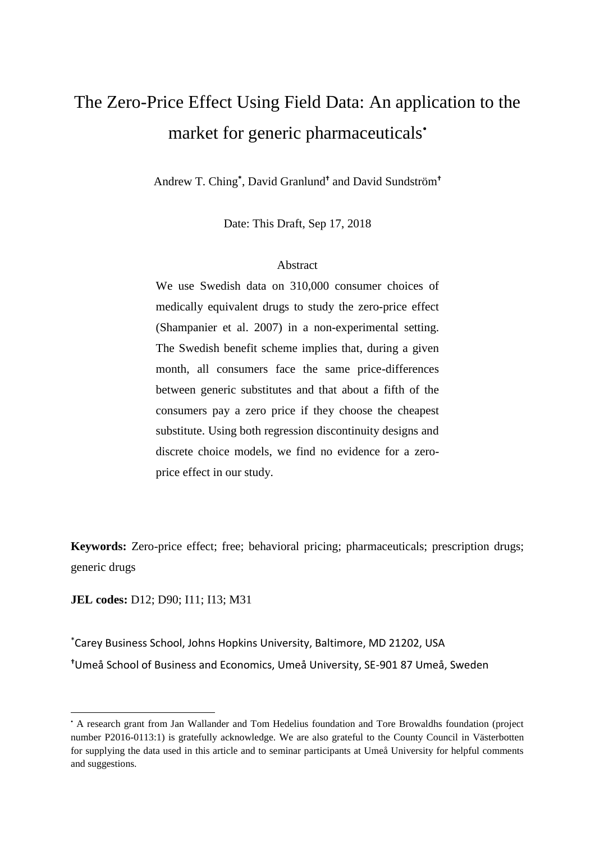# The Zero-Price Effect Using Field Data: An application to the market for generic pharmaceuticals<sup>•</sup>

Andrew T. Ching**\*** , David Granlund**†** and David Sundström**†**

Date: This Draft, Sep 17, 2018

### Abstract

We use Swedish data on 310,000 consumer choices of medically equivalent drugs to study the zero-price effect (Shampanier et al. 2007) in a non-experimental setting. The Swedish benefit scheme implies that, during a given month, all consumers face the same price-differences between generic substitutes and that about a fifth of the consumers pay a zero price if they choose the cheapest substitute. Using both regression discontinuity designs and discrete choice models, we find no evidence for a zeroprice effect in our study.

**Keywords:** Zero-price effect; free; behavioral pricing; pharmaceuticals; prescription drugs; generic drugs

**JEL codes:** D12; D90; I11; I13; M31

 $\overline{a}$ 

\*Carey Business School, Johns Hopkins University, Baltimore, MD 21202, USA **†**Umeå School of Business and Economics, Umeå University, SE-901 87 Umeå, Sweden

<sup>•</sup> A research grant from Jan Wallander and Tom Hedelius foundation and Tore Browaldhs foundation (project number P2016-0113:1) is gratefully acknowledge. We are also grateful to the County Council in Västerbotten for supplying the data used in this article and to seminar participants at Umeå University for helpful comments and suggestions.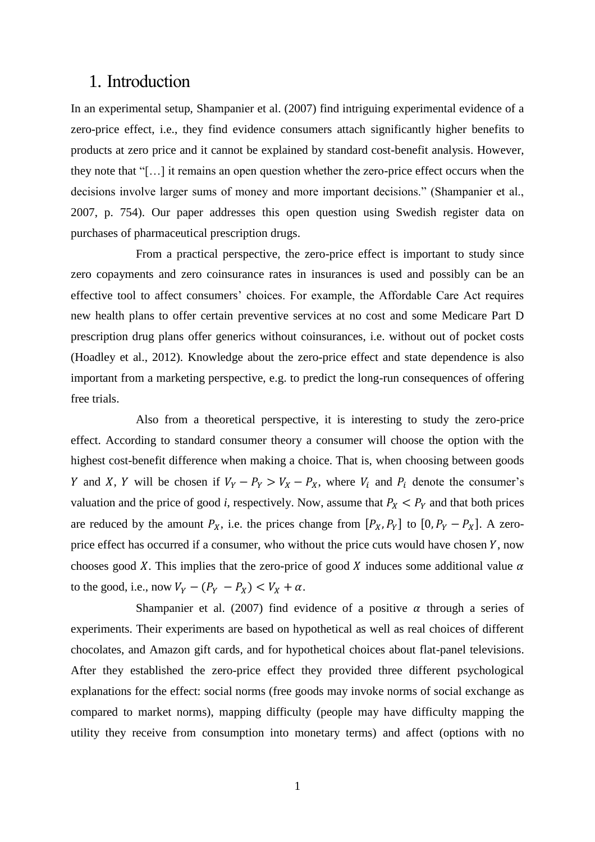## 1. Introduction

In an experimental setup, Shampanier et al. (2007) find intriguing experimental evidence of a zero-price effect, i.e., they find evidence consumers attach significantly higher benefits to products at zero price and it cannot be explained by standard cost-benefit analysis. However, they note that "[…] it remains an open question whether the zero-price effect occurs when the decisions involve larger sums of money and more important decisions." (Shampanier et al., 2007, p. 754). Our paper addresses this open question using Swedish register data on purchases of pharmaceutical prescription drugs.

From a practical perspective, the zero-price effect is important to study since zero copayments and zero coinsurance rates in insurances is used and possibly can be an effective tool to affect consumers' choices. For example, the Affordable Care Act requires new health plans to offer certain preventive services at no cost and some Medicare Part D prescription drug plans offer generics without coinsurances, i.e. without out of pocket costs (Hoadley et al., 2012). Knowledge about the zero-price effect and state dependence is also important from a marketing perspective, e.g. to predict the long-run consequences of offering free trials.

Also from a theoretical perspective, it is interesting to study the zero-price effect. According to standard consumer theory a consumer will choose the option with the highest cost-benefit difference when making a choice. That is, when choosing between goods Y and X, Y will be chosen if  $V_Y - P_Y > V_X - P_X$ , where  $V_i$  and  $P_i$  denote the consumer's valuation and the price of good *i*, respectively. Now, assume that  $P_X < P_Y$  and that both prices are reduced by the amount  $P_X$ , i.e. the prices change from  $[P_X, P_Y]$  to  $[0, P_Y - P_X]$ . A zeroprice effect has occurred if a consumer, who without the price cuts would have chosen  $Y$ , now chooses good X. This implies that the zero-price of good X induces some additional value  $\alpha$ to the good, i.e., now  $V_Y - (P_Y - P_X) < V_X + \alpha$ .

Shampanier et al. (2007) find evidence of a positive  $\alpha$  through a series of experiments. Their experiments are based on hypothetical as well as real choices of different chocolates, and Amazon gift cards, and for hypothetical choices about flat-panel televisions. After they established the zero-price effect they provided three different psychological explanations for the effect: social norms (free goods may invoke norms of social exchange as compared to market norms), mapping difficulty (people may have difficulty mapping the utility they receive from consumption into monetary terms) and affect (options with no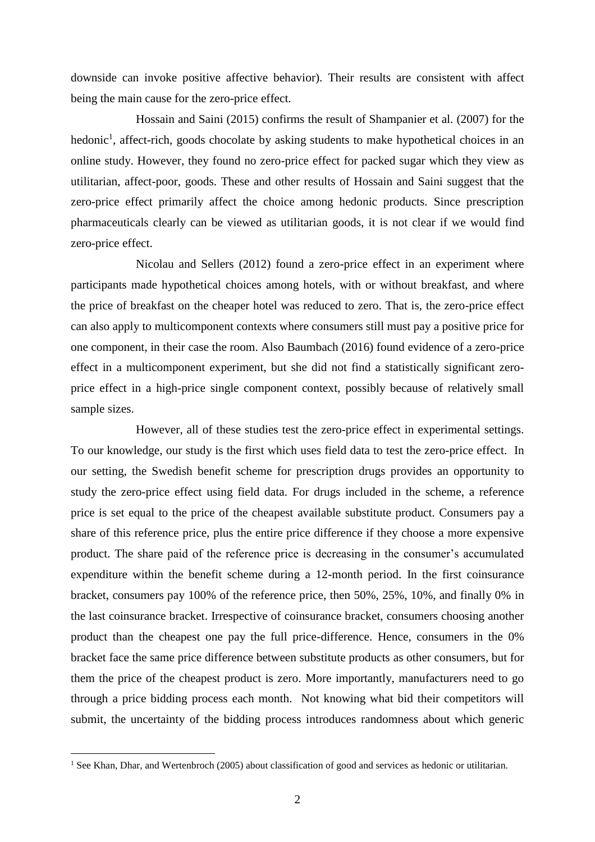downside can invoke positive affective behavior). Their results are consistent with affect being the main cause for the zero-price effect.

Hossain and Saini (2015) confirms the result of Shampanier et al. (2007) for the hedonic<sup>1</sup>, affect-rich, goods chocolate by asking students to make hypothetical choices in an online study. However, they found no zero-price effect for packed sugar which they view as utilitarian, affect-poor, goods. These and other results of Hossain and Saini suggest that the zero-price effect primarily affect the choice among hedonic products. Since prescription pharmaceuticals clearly can be viewed as utilitarian goods, it is not clear if we would find zero-price effect.

Nicolau and Sellers (2012) found a zero-price effect in an experiment where participants made hypothetical choices among hotels, with or without breakfast, and where the price of breakfast on the cheaper hotel was reduced to zero. That is, the zero-price effect can also apply to multicomponent contexts where consumers still must pay a positive price for one component, in their case the room. Also Baumbach (2016) found evidence of a zero-price effect in a multicomponent experiment, but she did not find a statistically significant zeroprice effect in a high-price single component context, possibly because of relatively small sample sizes.

However, all of these studies test the zero-price effect in experimental settings. To our knowledge, our study is the first which uses field data to test the zero-price effect. In our setting, the Swedish benefit scheme for prescription drugs provides an opportunity to study the zero-price effect using field data. For drugs included in the scheme, a reference price is set equal to the price of the cheapest available substitute product. Consumers pay a share of this reference price, plus the entire price difference if they choose a more expensive product. The share paid of the reference price is decreasing in the consumer's accumulated expenditure within the benefit scheme during a 12-month period. In the first coinsurance bracket, consumers pay 100% of the reference price, then 50%, 25%, 10%, and finally 0% in the last coinsurance bracket. Irrespective of coinsurance bracket, consumers choosing another product than the cheapest one pay the full price-difference. Hence, consumers in the 0% bracket face the same price difference between substitute products as other consumers, but for them the price of the cheapest product is zero. More importantly, manufacturers need to go through a price bidding process each month. Not knowing what bid their competitors will submit, the uncertainty of the bidding process introduces randomness about which generic

<sup>&</sup>lt;sup>1</sup> See Khan, Dhar, and Wertenbroch (2005) about classification of good and services as hedonic or utilitarian.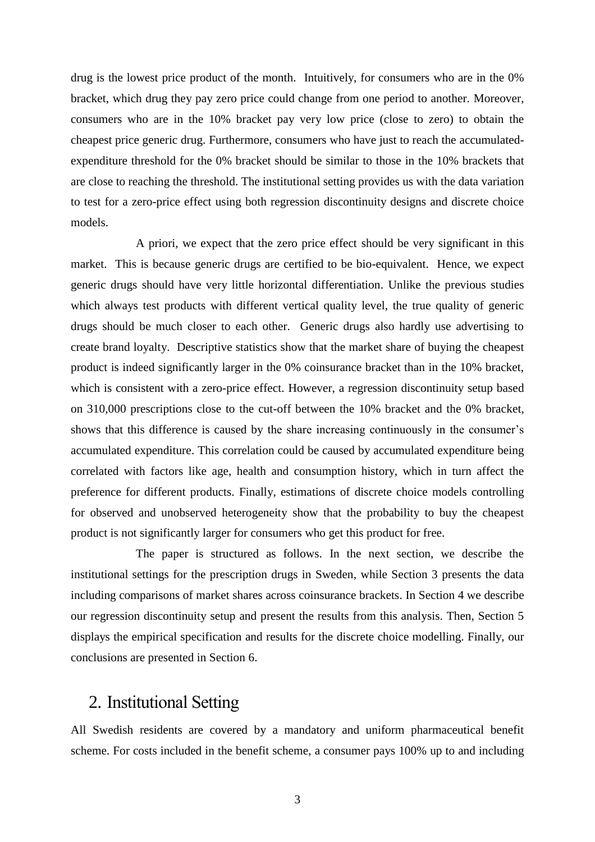drug is the lowest price product of the month. Intuitively, for consumers who are in the 0% bracket, which drug they pay zero price could change from one period to another. Moreover, consumers who are in the 10% bracket pay very low price (close to zero) to obtain the cheapest price generic drug. Furthermore, consumers who have just to reach the accumulatedexpenditure threshold for the 0% bracket should be similar to those in the 10% brackets that are close to reaching the threshold. The institutional setting provides us with the data variation to test for a zero-price effect using both regression discontinuity designs and discrete choice models.

A priori, we expect that the zero price effect should be very significant in this market. This is because generic drugs are certified to be bio-equivalent. Hence, we expect generic drugs should have very little horizontal differentiation. Unlike the previous studies which always test products with different vertical quality level, the true quality of generic drugs should be much closer to each other. Generic drugs also hardly use advertising to create brand loyalty. Descriptive statistics show that the market share of buying the cheapest product is indeed significantly larger in the 0% coinsurance bracket than in the 10% bracket, which is consistent with a zero-price effect. However, a regression discontinuity setup based on 310,000 prescriptions close to the cut-off between the 10% bracket and the 0% bracket, shows that this difference is caused by the share increasing continuously in the consumer's accumulated expenditure. This correlation could be caused by accumulated expenditure being correlated with factors like age, health and consumption history, which in turn affect the preference for different products. Finally, estimations of discrete choice models controlling for observed and unobserved heterogeneity show that the probability to buy the cheapest product is not significantly larger for consumers who get this product for free.

The paper is structured as follows. In the next section, we describe the institutional settings for the prescription drugs in Sweden, while Section 3 presents the data including comparisons of market shares across coinsurance brackets. In Section 4 we describe our regression discontinuity setup and present the results from this analysis. Then, Section 5 displays the empirical specification and results for the discrete choice modelling. Finally, our conclusions are presented in Section 6.

## 2. Institutional Setting

All Swedish residents are covered by a mandatory and uniform pharmaceutical benefit scheme. For costs included in the benefit scheme, a consumer pays 100% up to and including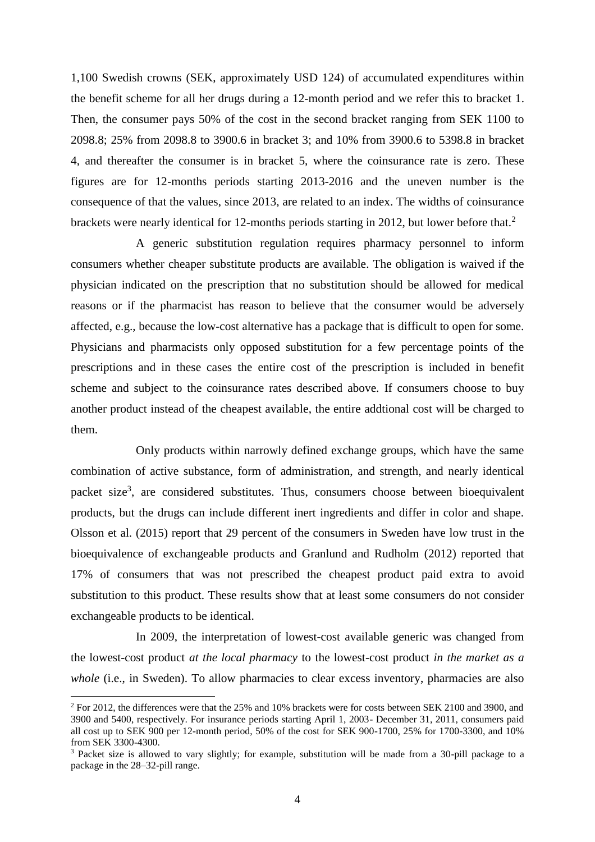1,100 Swedish crowns (SEK, approximately USD 124) of accumulated expenditures within the benefit scheme for all her drugs during a 12-month period and we refer this to bracket 1. Then, the consumer pays 50% of the cost in the second bracket ranging from SEK 1100 to 2098.8; 25% from 2098.8 to 3900.6 in bracket 3; and 10% from 3900.6 to 5398.8 in bracket 4, and thereafter the consumer is in bracket 5, where the coinsurance rate is zero. These figures are for 12-months periods starting 2013-2016 and the uneven number is the consequence of that the values, since 2013, are related to an index. The widths of coinsurance brackets were nearly identical for 12-months periods starting in 2012, but lower before that.<sup>2</sup>

A generic substitution regulation requires pharmacy personnel to inform consumers whether cheaper substitute products are available. The obligation is waived if the physician indicated on the prescription that no substitution should be allowed for medical reasons or if the pharmacist has reason to believe that the consumer would be adversely affected, e.g., because the low-cost alternative has a package that is difficult to open for some. Physicians and pharmacists only opposed substitution for a few percentage points of the prescriptions and in these cases the entire cost of the prescription is included in benefit scheme and subject to the coinsurance rates described above. If consumers choose to buy another product instead of the cheapest available, the entire addtional cost will be charged to them.

Only products within narrowly defined exchange groups, which have the same combination of active substance, form of administration, and strength, and nearly identical packet size<sup>3</sup>, are considered substitutes. Thus, consumers choose between bioequivalent products, but the drugs can include different inert ingredients and differ in color and shape. Olsson et al. (2015) report that 29 percent of the consumers in Sweden have low trust in the bioequivalence of exchangeable products and Granlund and Rudholm (2012) reported that 17% of consumers that was not prescribed the cheapest product paid extra to avoid substitution to this product. These results show that at least some consumers do not consider exchangeable products to be identical.

In 2009, the interpretation of lowest-cost available generic was changed from the lowest-cost product *at the local pharmacy* to the lowest-cost product *in the market as a whole* (i.e., in Sweden). To allow pharmacies to clear excess inventory, pharmacies are also

<sup>&</sup>lt;sup>2</sup> For 2012, the differences were that the 25% and 10% brackets were for costs between SEK 2100 and 3900, and 3900 and 5400, respectively. For insurance periods starting April 1, 2003- December 31, 2011, consumers paid all cost up to SEK 900 per 12-month period, 50% of the cost for SEK 900-1700, 25% for 1700-3300, and 10% from SEK 3300-4300.

<sup>&</sup>lt;sup>3</sup> Packet size is allowed to vary slightly; for example, substitution will be made from a 30-pill package to a package in the 28–32-pill range.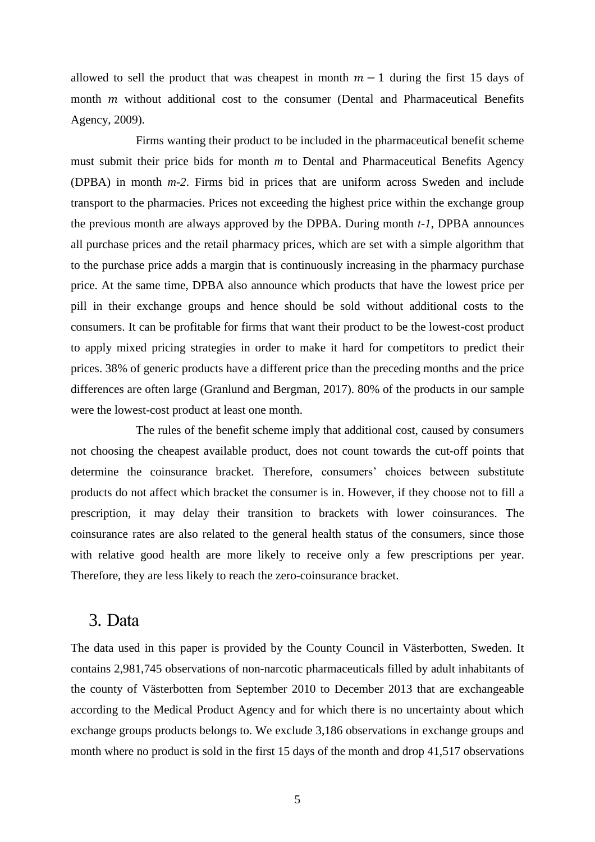allowed to sell the product that was cheapest in month  $m - 1$  during the first 15 days of month  $m$  without additional cost to the consumer (Dental and Pharmaceutical Benefits Agency, 2009).

Firms wanting their product to be included in the pharmaceutical benefit scheme must submit their price bids for month *m* to Dental and Pharmaceutical Benefits Agency (DPBA) in month *m-2*. Firms bid in prices that are uniform across Sweden and include transport to the pharmacies. Prices not exceeding the highest price within the exchange group the previous month are always approved by the DPBA. During month *t-1*, DPBA announces all purchase prices and the retail pharmacy prices, which are set with a simple algorithm that to the purchase price adds a margin that is continuously increasing in the pharmacy purchase price. At the same time, DPBA also announce which products that have the lowest price per pill in their exchange groups and hence should be sold without additional costs to the consumers. It can be profitable for firms that want their product to be the lowest-cost product to apply mixed pricing strategies in order to make it hard for competitors to predict their prices. 38% of generic products have a different price than the preceding months and the price differences are often large (Granlund and Bergman, 2017). 80% of the products in our sample were the lowest-cost product at least one month.

The rules of the benefit scheme imply that additional cost, caused by consumers not choosing the cheapest available product, does not count towards the cut-off points that determine the coinsurance bracket. Therefore, consumers' choices between substitute products do not affect which bracket the consumer is in. However, if they choose not to fill a prescription, it may delay their transition to brackets with lower coinsurances. The coinsurance rates are also related to the general health status of the consumers, since those with relative good health are more likely to receive only a few prescriptions per year. Therefore, they are less likely to reach the zero-coinsurance bracket.

### 3. Data

The data used in this paper is provided by the County Council in Västerbotten, Sweden. It contains 2,981,745 observations of non-narcotic pharmaceuticals filled by adult inhabitants of the county of Västerbotten from September 2010 to December 2013 that are exchangeable according to the Medical Product Agency and for which there is no uncertainty about which exchange groups products belongs to. We exclude 3,186 observations in exchange groups and month where no product is sold in the first 15 days of the month and drop 41,517 observations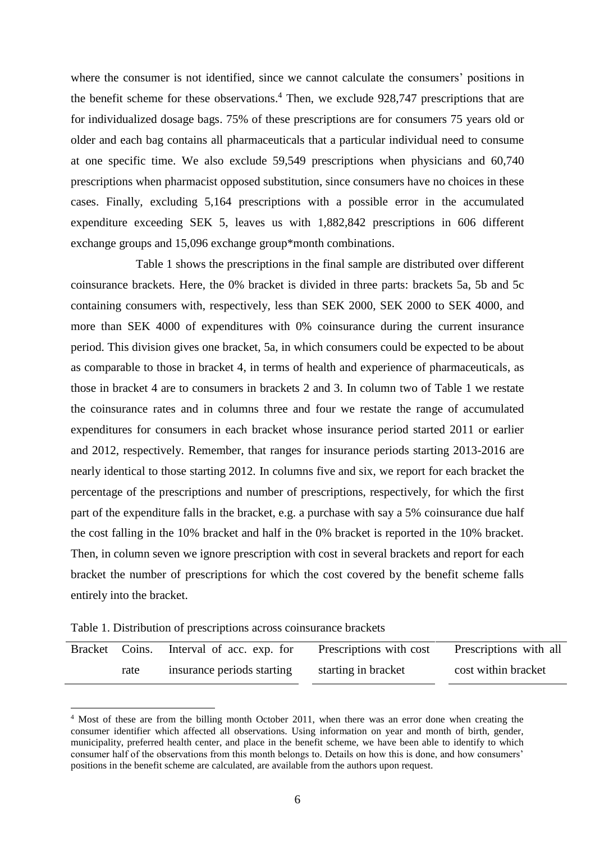where the consumer is not identified, since we cannot calculate the consumers' positions in the benefit scheme for these observations. <sup>4</sup> Then, we exclude 928,747 prescriptions that are for individualized dosage bags. 75% of these prescriptions are for consumers 75 years old or older and each bag contains all pharmaceuticals that a particular individual need to consume at one specific time. We also exclude 59,549 prescriptions when physicians and 60,740 prescriptions when pharmacist opposed substitution, since consumers have no choices in these cases. Finally, excluding 5,164 prescriptions with a possible error in the accumulated expenditure exceeding SEK 5, leaves us with 1,882,842 prescriptions in 606 different exchange groups and 15,096 exchange group\*month combinations.

Table 1 shows the prescriptions in the final sample are distributed over different coinsurance brackets. Here, the 0% bracket is divided in three parts: brackets 5a, 5b and 5c containing consumers with, respectively, less than SEK 2000, SEK 2000 to SEK 4000, and more than SEK 4000 of expenditures with 0% coinsurance during the current insurance period. This division gives one bracket, 5a, in which consumers could be expected to be about as comparable to those in bracket 4, in terms of health and experience of pharmaceuticals, as those in bracket 4 are to consumers in brackets 2 and 3. In column two of Table 1 we restate the coinsurance rates and in columns three and four we restate the range of accumulated expenditures for consumers in each bracket whose insurance period started 2011 or earlier and 2012, respectively. Remember, that ranges for insurance periods starting 2013-2016 are nearly identical to those starting 2012. In columns five and six, we report for each bracket the percentage of the prescriptions and number of prescriptions, respectively, for which the first part of the expenditure falls in the bracket, e.g. a purchase with say a 5% coinsurance due half the cost falling in the 10% bracket and half in the 0% bracket is reported in the 10% bracket. Then, in column seven we ignore prescription with cost in several brackets and report for each bracket the number of prescriptions for which the cost covered by the benefit scheme falls entirely into the bracket.

Table 1. Distribution of prescriptions across coinsurance brackets

| Bracket Coins. | Interval of acc. exp. for  | Prescriptions with cost | Prescriptions with all |
|----------------|----------------------------|-------------------------|------------------------|
| rate           | insurance periods starting | starting in bracket     | cost within bracket    |

<sup>4</sup> Most of these are from the billing month October 2011, when there was an error done when creating the consumer identifier which affected all observations. Using information on year and month of birth, gender, municipality, preferred health center, and place in the benefit scheme, we have been able to identify to which consumer half of the observations from this month belongs to. Details on how this is done, and how consumers' positions in the benefit scheme are calculated, are available from the authors upon request.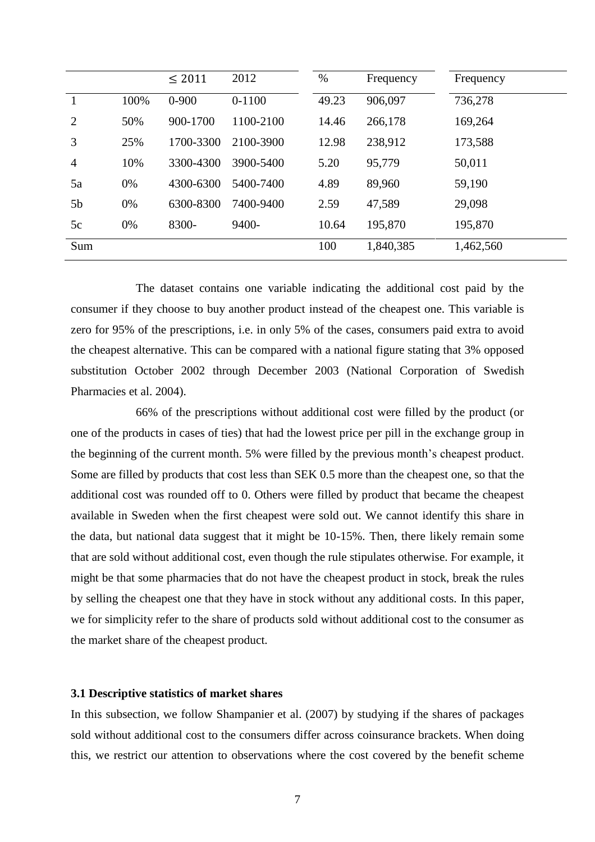|                |      | $\leq 2011$ | 2012      | $\%$  | Frequency | Frequency |
|----------------|------|-------------|-----------|-------|-----------|-----------|
|                | 100% | $0 - 900$   | $0-1100$  | 49.23 | 906,097   | 736,278   |
| $\overline{2}$ | 50%  | 900-1700    | 1100-2100 | 14.46 | 266,178   | 169,264   |
| 3              | 25%  | 1700-3300   | 2100-3900 | 12.98 | 238,912   | 173,588   |
| 4              | 10%  | 3300-4300   | 3900-5400 | 5.20  | 95,779    | 50,011    |
| 5a             | 0%   | 4300-6300   | 5400-7400 | 4.89  | 89,960    | 59,190    |
| 5b             | 0%   | 6300-8300   | 7400-9400 | 2.59  | 47,589    | 29,098    |
| 5c             | 0%   | 8300-       | 9400-     | 10.64 | 195,870   | 195,870   |
| Sum            |      |             |           | 100   | 1,840,385 | 1,462,560 |

The dataset contains one variable indicating the additional cost paid by the consumer if they choose to buy another product instead of the cheapest one. This variable is zero for 95% of the prescriptions, i.e. in only 5% of the cases, consumers paid extra to avoid the cheapest alternative. This can be compared with a national figure stating that 3% opposed substitution October 2002 through December 2003 (National Corporation of Swedish Pharmacies et al. 2004).

66% of the prescriptions without additional cost were filled by the product (or one of the products in cases of ties) that had the lowest price per pill in the exchange group in the beginning of the current month. 5% were filled by the previous month's cheapest product. Some are filled by products that cost less than SEK 0.5 more than the cheapest one, so that the additional cost was rounded off to 0. Others were filled by product that became the cheapest available in Sweden when the first cheapest were sold out. We cannot identify this share in the data, but national data suggest that it might be 10-15%. Then, there likely remain some that are sold without additional cost, even though the rule stipulates otherwise. For example, it might be that some pharmacies that do not have the cheapest product in stock, break the rules by selling the cheapest one that they have in stock without any additional costs. In this paper, we for simplicity refer to the share of products sold without additional cost to the consumer as the market share of the cheapest product.

### **3.1 Descriptive statistics of market shares**

In this subsection, we follow Shampanier et al. (2007) by studying if the shares of packages sold without additional cost to the consumers differ across coinsurance brackets. When doing this, we restrict our attention to observations where the cost covered by the benefit scheme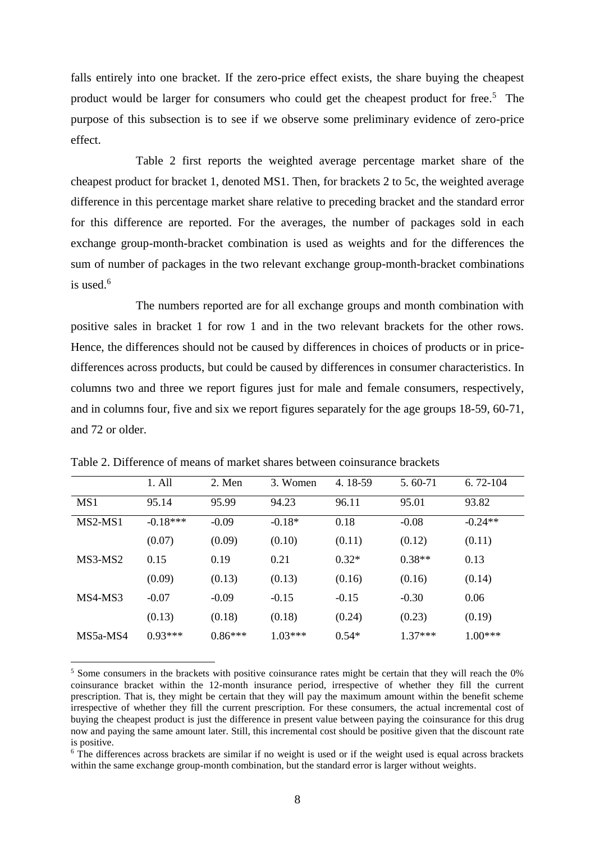falls entirely into one bracket. If the zero-price effect exists, the share buying the cheapest product would be larger for consumers who could get the cheapest product for free. <sup>5</sup> The purpose of this subsection is to see if we observe some preliminary evidence of zero-price effect.

Table 2 first reports the weighted average percentage market share of the cheapest product for bracket 1, denoted MS1. Then, for brackets 2 to 5c, the weighted average difference in this percentage market share relative to preceding bracket and the standard error for this difference are reported. For the averages, the number of packages sold in each exchange group-month-bracket combination is used as weights and for the differences the sum of number of packages in the two relevant exchange group-month-bracket combinations is used. 6

The numbers reported are for all exchange groups and month combination with positive sales in bracket 1 for row 1 and in the two relevant brackets for the other rows. Hence, the differences should not be caused by differences in choices of products or in pricedifferences across products, but could be caused by differences in consumer characteristics. In columns two and three we report figures just for male and female consumers, respectively, and in columns four, five and six we report figures separately for the age groups 18-59, 60-71, and 72 or older.

|            | 1. All     | 2. Men    | 3. Women  | 4.18-59 | 5.60-71   | $6.72 - 104$ |
|------------|------------|-----------|-----------|---------|-----------|--------------|
| MS1        | 95.14      | 95.99     | 94.23     | 96.11   | 95.01     | 93.82        |
| $MS2-MS1$  | $-0.18***$ | $-0.09$   | $-0.18*$  | 0.18    | $-0.08$   | $-0.24**$    |
|            | (0.07)     | (0.09)    | (0.10)    | (0.11)  | (0.12)    | (0.11)       |
| MS3-MS2    | 0.15       | 0.19      | 0.21      | $0.32*$ | $0.38**$  | 0.13         |
|            | (0.09)     | (0.13)    | (0.13)    | (0.16)  | (0.16)    | (0.14)       |
| MS4-MS3    | $-0.07$    | $-0.09$   | $-0.15$   | $-0.15$ | $-0.30$   | 0.06         |
|            | (0.13)     | (0.18)    | (0.18)    | (0.24)  | (0.23)    | (0.19)       |
| $MS5a-MS4$ | $0.93***$  | $0.86***$ | $1.03***$ | $0.54*$ | $1.37***$ | $1.00***$    |

Table 2. Difference of means of market shares between coinsurance brackets

<sup>5</sup> Some consumers in the brackets with positive coinsurance rates might be certain that they will reach the 0% coinsurance bracket within the 12-month insurance period, irrespective of whether they fill the current prescription. That is, they might be certain that they will pay the maximum amount within the benefit scheme irrespective of whether they fill the current prescription. For these consumers, the actual incremental cost of buying the cheapest product is just the difference in present value between paying the coinsurance for this drug now and paying the same amount later. Still, this incremental cost should be positive given that the discount rate is positive.

<sup>&</sup>lt;sup>6</sup> The differences across brackets are similar if no weight is used or if the weight used is equal across brackets within the same exchange group-month combination, but the standard error is larger without weights.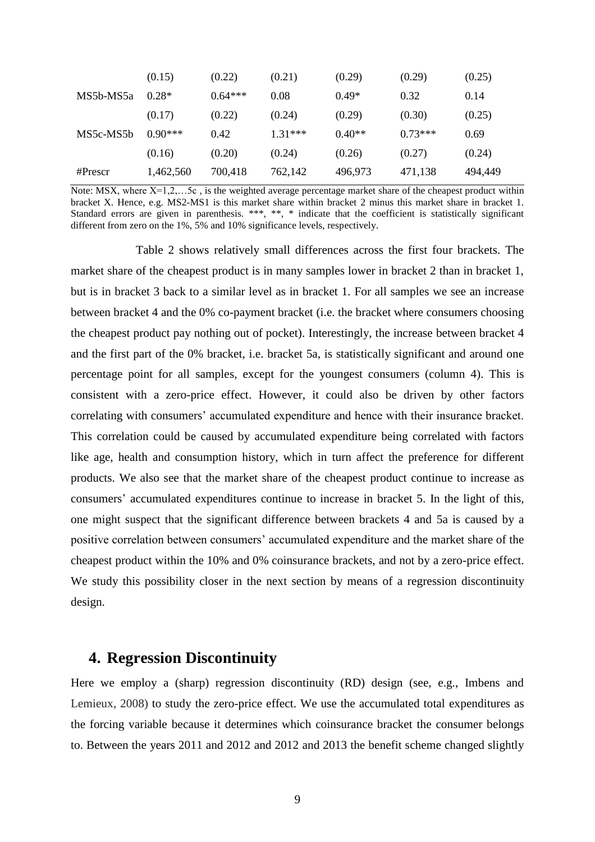|            | (0.15)    | (0.22)    | (0.21)    | (0.29)   | (0.29)    | (0.25)  |
|------------|-----------|-----------|-----------|----------|-----------|---------|
| MS5b-MS5a  | $0.28*$   | $0.64***$ | 0.08      | $0.49*$  | 0.32      | 0.14    |
|            | (0.17)    | (0.22)    | (0.24)    | (0.29)   | (0.30)    | (0.25)  |
| MS5c-MS5b  | $0.90***$ | 0.42      | $1.31***$ | $0.40**$ | $0.73***$ | 0.69    |
|            | (0.16)    | (0.20)    | (0.24)    | (0.26)   | (0.27)    | (0.24)  |
| $#$ Prescr | 1,462,560 | 700,418   | 762,142   | 496,973  | 471,138   | 494,449 |

Note: MSX, where  $X=1,2,....5c$ , is the weighted average percentage market share of the cheapest product within bracket X. Hence, e.g. MS2-MS1 is this market share within bracket 2 minus this market share in bracket 1. Standard errors are given in parenthesis. \*\*\*, \*\*, \* indicate that the coefficient is statistically significant different from zero on the 1%, 5% and 10% significance levels, respectively.

Table 2 shows relatively small differences across the first four brackets. The market share of the cheapest product is in many samples lower in bracket 2 than in bracket 1, but is in bracket 3 back to a similar level as in bracket 1. For all samples we see an increase between bracket 4 and the 0% co-payment bracket (i.e. the bracket where consumers choosing the cheapest product pay nothing out of pocket). Interestingly, the increase between bracket 4 and the first part of the 0% bracket, i.e. bracket 5a, is statistically significant and around one percentage point for all samples, except for the youngest consumers (column 4). This is consistent with a zero-price effect. However, it could also be driven by other factors correlating with consumers' accumulated expenditure and hence with their insurance bracket. This correlation could be caused by accumulated expenditure being correlated with factors like age, health and consumption history, which in turn affect the preference for different products. We also see that the market share of the cheapest product continue to increase as consumers' accumulated expenditures continue to increase in bracket 5. In the light of this, one might suspect that the significant difference between brackets 4 and 5a is caused by a positive correlation between consumers' accumulated expenditure and the market share of the cheapest product within the 10% and 0% coinsurance brackets, and not by a zero-price effect. We study this possibility closer in the next section by means of a regression discontinuity design.

### **4. Regression Discontinuity**

Here we employ a (sharp) regression discontinuity (RD) design (see, e.g., Imbens and Lemieux, 2008) to study the zero-price effect. We use the accumulated total expenditures as the forcing variable because it determines which coinsurance bracket the consumer belongs to. Between the years 2011 and 2012 and 2012 and 2013 the benefit scheme changed slightly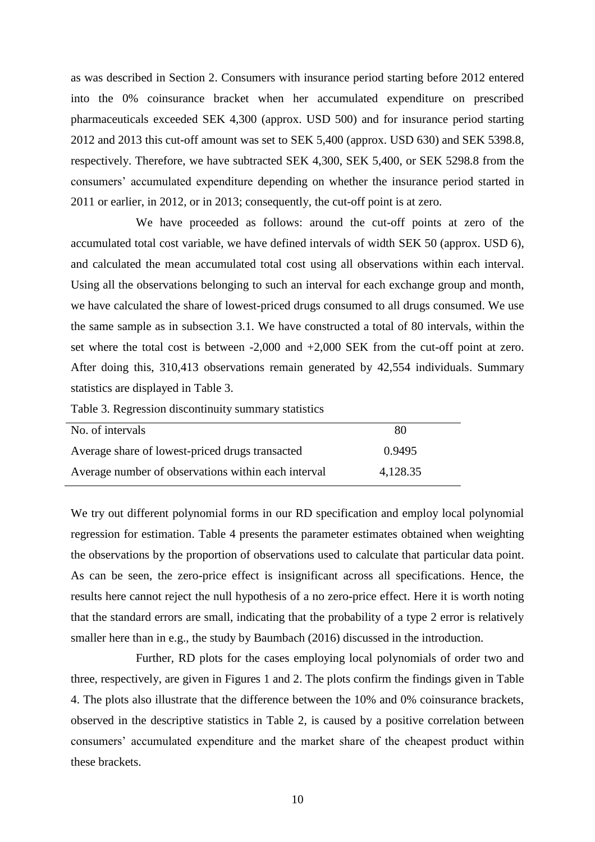as was described in Section 2. Consumers with insurance period starting before 2012 entered into the 0% coinsurance bracket when her accumulated expenditure on prescribed pharmaceuticals exceeded SEK 4,300 (approx. USD 500) and for insurance period starting 2012 and 2013 this cut-off amount was set to SEK 5,400 (approx. USD 630) and SEK 5398.8, respectively. Therefore, we have subtracted SEK 4,300, SEK 5,400, or SEK 5298.8 from the consumers' accumulated expenditure depending on whether the insurance period started in 2011 or earlier, in 2012, or in 2013; consequently, the cut-off point is at zero.

We have proceeded as follows: around the cut-off points at zero of the accumulated total cost variable, we have defined intervals of width SEK 50 (approx. USD 6), and calculated the mean accumulated total cost using all observations within each interval. Using all the observations belonging to such an interval for each exchange group and month, we have calculated the share of lowest-priced drugs consumed to all drugs consumed. We use the same sample as in subsection 3.1. We have constructed a total of 80 intervals, within the set where the total cost is between -2,000 and +2,000 SEK from the cut-off point at zero. After doing this, 310,413 observations remain generated by 42,554 individuals. Summary statistics are displayed in Table 3.

Table 3. Regression discontinuity summary statistics

| No. of intervals                                    | -80      |  |
|-----------------------------------------------------|----------|--|
| Average share of lowest-priced drugs transacted     | 0.9495   |  |
| Average number of observations within each interval | 4,128.35 |  |

We try out different polynomial forms in our RD specification and employ local polynomial regression for estimation. Table 4 presents the parameter estimates obtained when weighting the observations by the proportion of observations used to calculate that particular data point. As can be seen, the zero-price effect is insignificant across all specifications. Hence, the results here cannot reject the null hypothesis of a no zero-price effect. Here it is worth noting that the standard errors are small, indicating that the probability of a type 2 error is relatively smaller here than in e.g., the study by Baumbach (2016) discussed in the introduction.

Further, RD plots for the cases employing local polynomials of order two and three, respectively, are given in Figures 1 and 2. The plots confirm the findings given in Table 4. The plots also illustrate that the difference between the 10% and 0% coinsurance brackets, observed in the descriptive statistics in Table 2, is caused by a positive correlation between consumers' accumulated expenditure and the market share of the cheapest product within these brackets.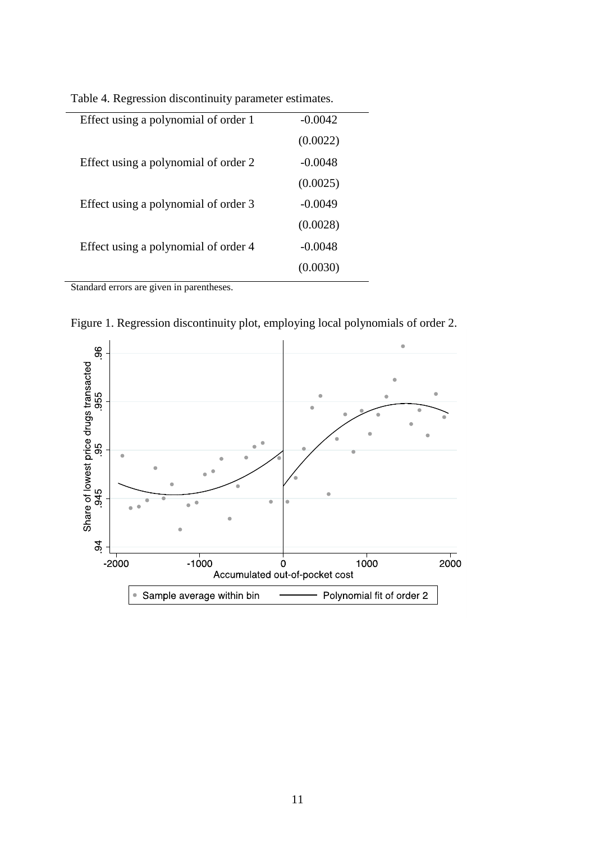| Effect using a polynomial of order 1 | $-0.0042$ |
|--------------------------------------|-----------|
|                                      | (0.0022)  |
| Effect using a polynomial of order 2 | $-0.0048$ |
|                                      | (0.0025)  |
| Effect using a polynomial of order 3 | $-0.0049$ |
|                                      | (0.0028)  |
| Effect using a polynomial of order 4 | $-0.0048$ |
|                                      |           |
|                                      |           |

Table 4. Regression discontinuity parameter estimates.

Standard errors are given in parentheses.

Figure 1. Regression discontinuity plot, employing local polynomials of order 2.

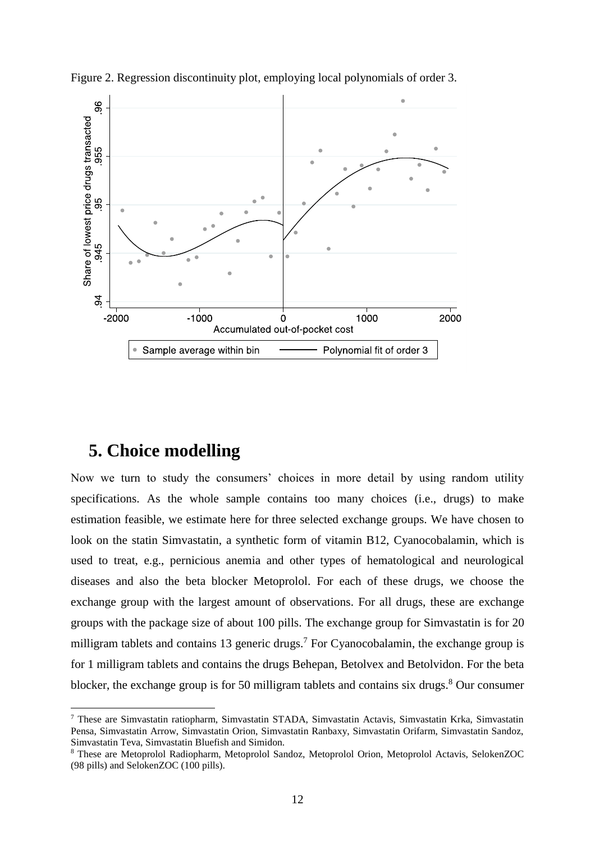

Figure 2. Regression discontinuity plot, employing local polynomials of order 3.

# **5. Choice modelling**

 $\overline{a}$ 

Now we turn to study the consumers' choices in more detail by using random utility specifications. As the whole sample contains too many choices (i.e., drugs) to make estimation feasible, we estimate here for three selected exchange groups. We have chosen to look on the statin Simvastatin, a synthetic form of vitamin B12, Cyanocobalamin, which is used to treat, e.g., pernicious anemia and other types of hematological and neurological diseases and also the beta blocker Metoprolol. For each of these drugs, we choose the exchange group with the largest amount of observations. For all drugs, these are exchange groups with the package size of about 100 pills. The exchange group for Simvastatin is for 20 milligram tablets and contains 13 generic drugs.<sup>7</sup> For Cyanocobalamin, the exchange group is for 1 milligram tablets and contains the drugs Behepan, Betolvex and Betolvidon. For the beta blocker, the exchange group is for 50 milligram tablets and contains six drugs. $8$  Our consumer

<sup>7</sup> These are Simvastatin ratiopharm, Simvastatin STADA, Simvastatin Actavis, Simvastatin Krka, Simvastatin Pensa, Simvastatin Arrow, Simvastatin Orion, Simvastatin Ranbaxy, Simvastatin Orifarm, Simvastatin Sandoz, Simvastatin Teva, Simvastatin Bluefish and Simidon.

<sup>8</sup> These are Metoprolol Radiopharm, Metoprolol Sandoz, Metoprolol Orion, Metoprolol Actavis, SelokenZOC (98 pills) and SelokenZOC (100 pills).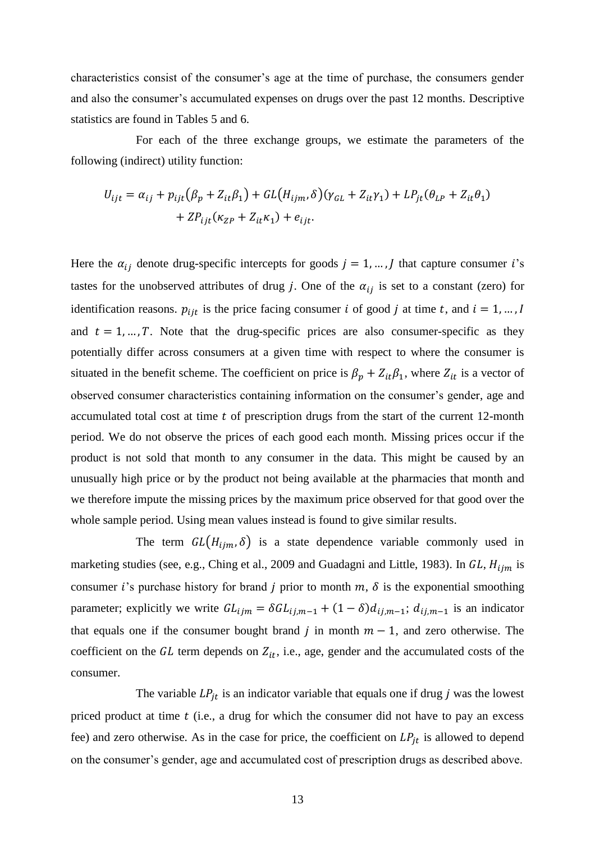characteristics consist of the consumer's age at the time of purchase, the consumers gender and also the consumer's accumulated expenses on drugs over the past 12 months. Descriptive statistics are found in Tables 5 and 6.

For each of the three exchange groups, we estimate the parameters of the following (indirect) utility function:

$$
U_{ijt} = \alpha_{ij} + p_{ijt} (\beta_p + Z_{it}\beta_1) + GL(H_{ijm}, \delta)(\gamma_{GL} + Z_{it}\gamma_1) + LP_{jt}(\theta_{LP} + Z_{it}\theta_1) + ZP_{ijt}(\kappa_{ZP} + Z_{it}\kappa_1) + e_{ijt}.
$$

Here the  $\alpha_{ij}$  denote drug-specific intercepts for goods  $j = 1, ..., J$  that capture consumer i's tastes for the unobserved attributes of drug j. One of the  $\alpha_{ij}$  is set to a constant (zero) for identification reasons.  $p_{ijt}$  is the price facing consumer *i* of good *j* at time *t*, and  $i = 1, ..., I$ and  $t = 1, ..., T$ . Note that the drug-specific prices are also consumer-specific as they potentially differ across consumers at a given time with respect to where the consumer is situated in the benefit scheme. The coefficient on price is  $\beta_p + Z_{it}\beta_1$ , where  $Z_{it}$  is a vector of observed consumer characteristics containing information on the consumer's gender, age and accumulated total cost at time  $t$  of prescription drugs from the start of the current 12-month period. We do not observe the prices of each good each month. Missing prices occur if the product is not sold that month to any consumer in the data. This might be caused by an unusually high price or by the product not being available at the pharmacies that month and we therefore impute the missing prices by the maximum price observed for that good over the whole sample period. Using mean values instead is found to give similar results.

The term  $GL(H_{ijm}, \delta)$  is a state dependence variable commonly used in marketing studies (see, e.g., Ching et al., 2009 and Guadagni and Little, 1983). In  $GL$ ,  $H_{ijm}$  is consumer *i*'s purchase history for brand *j* prior to month  $m$ ,  $\delta$  is the exponential smoothing parameter; explicitly we write  $GL_{ijm} = \delta GL_{ij,m-1} + (1 - \delta) d_{ij,m-1}$ ;  $d_{ij,m-1}$  is an indicator that equals one if the consumer bought brand *j* in month  $m - 1$ , and zero otherwise. The coefficient on the  $GL$  term depends on  $Z_{it}$ , i.e., age, gender and the accumulated costs of the consumer.

The variable  $LP_{it}$  is an indicator variable that equals one if drug *j* was the lowest priced product at time  $t$  (i.e., a drug for which the consumer did not have to pay an excess fee) and zero otherwise. As in the case for price, the coefficient on  $LP_{jt}$  is allowed to depend on the consumer's gender, age and accumulated cost of prescription drugs as described above.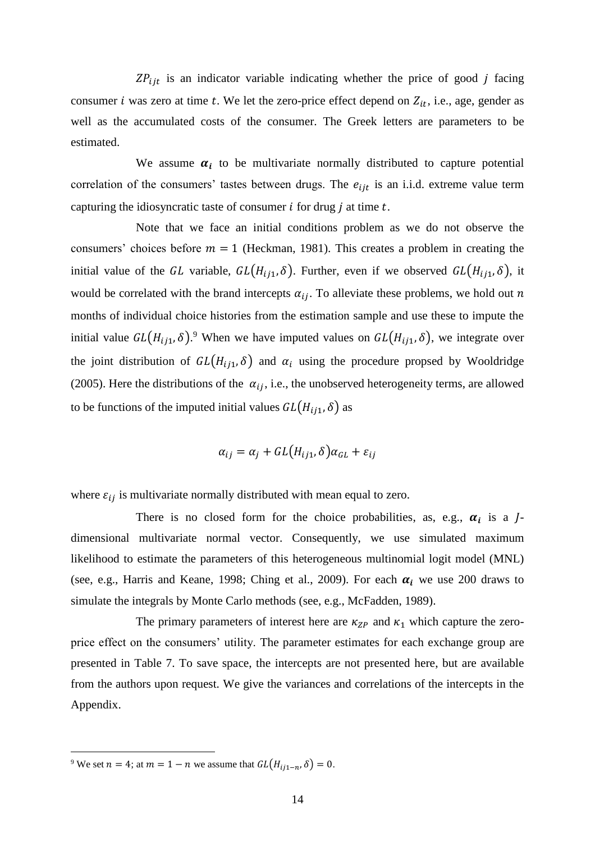$ZP_{ijt}$  is an indicator variable indicating whether the price of good  $j$  facing consumer *i* was zero at time *t*. We let the zero-price effect depend on  $Z_{it}$ , i.e., age, gender as well as the accumulated costs of the consumer. The Greek letters are parameters to be estimated.

We assume  $\alpha_i$  to be multivariate normally distributed to capture potential correlation of the consumers' tastes between drugs. The  $e_{ijt}$  is an i.i.d. extreme value term capturing the idiosyncratic taste of consumer  $i$  for drug  $j$  at time  $t$ .

Note that we face an initial conditions problem as we do not observe the consumers' choices before  $m = 1$  (Heckman, 1981). This creates a problem in creating the initial value of the GL variable,  $GL(H_{ij1}, \delta)$ . Further, even if we observed  $GL(H_{ij1}, \delta)$ , it would be correlated with the brand intercepts  $\alpha_{ij}$ . To alleviate these problems, we hold out *n* months of individual choice histories from the estimation sample and use these to impute the initial value  $GL(H_{ij1}, \delta)$ .<sup>9</sup> When we have imputed values on  $GL(H_{ij1}, \delta)$ , we integrate over the joint distribution of  $GL(H_{ij1}, \delta)$  and  $\alpha_i$  using the procedure propsed by Wooldridge (2005). Here the distributions of the  $\alpha_{ij}$ , i.e., the unobserved heterogeneity terms, are allowed to be functions of the imputed initial values  $GL(H_{ij1}, \delta)$  as

$$
\alpha_{ij} = \alpha_j + GL(H_{ij1}, \delta)\alpha_{GL} + \varepsilon_{ij}
$$

where  $\varepsilon_{ij}$  is multivariate normally distributed with mean equal to zero.

There is no closed form for the choice probabilities, as, e.g.,  $\alpha_i$  is a Jdimensional multivariate normal vector. Consequently, we use simulated maximum likelihood to estimate the parameters of this heterogeneous multinomial logit model (MNL) (see, e.g., Harris and Keane, 1998; Ching et al., 2009). For each  $\alpha_i$  we use 200 draws to simulate the integrals by Monte Carlo methods (see, e.g., McFadden, 1989).

The primary parameters of interest here are  $\kappa_{ZP}$  and  $\kappa_1$  which capture the zeroprice effect on the consumers' utility. The parameter estimates for each exchange group are presented in Table 7. To save space, the intercepts are not presented here, but are available from the authors upon request. We give the variances and correlations of the intercepts in the Appendix.

<sup>&</sup>lt;sup>9</sup> We set  $n = 4$ ; at  $m = 1 - n$  we assume that  $GL(H_{ij1-n}, \delta) = 0$ .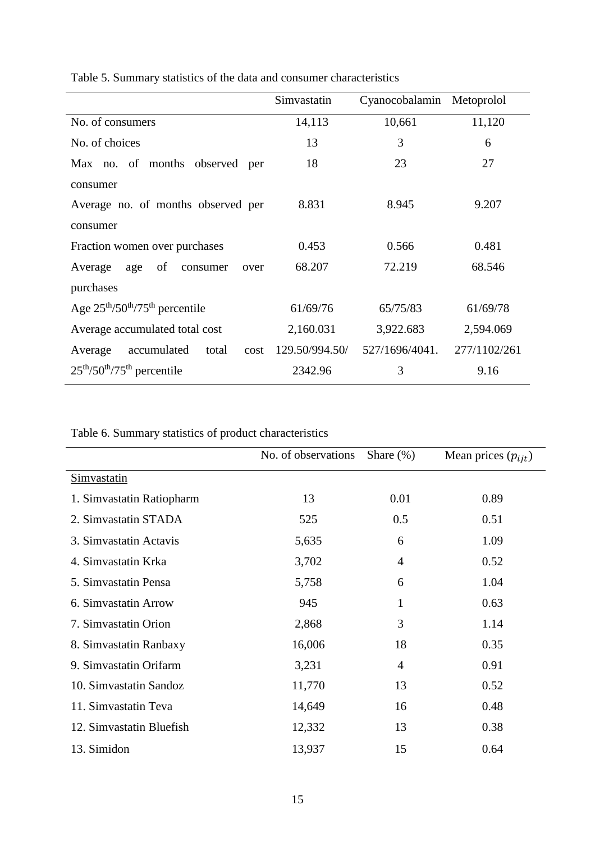|                                          | Simvastatin    | Cyanocobalamin Metoprolol |              |
|------------------------------------------|----------------|---------------------------|--------------|
| No. of consumers                         | 14,113         | 10,661                    | 11,120       |
| No. of choices                           | 13             | 3                         | 6            |
| Max no. of months observed<br>per        | 18             | 23                        | 27           |
| consumer                                 |                |                           |              |
| Average no. of months observed per       | 8.831          | 8.945                     | 9.207        |
| consumer                                 |                |                           |              |
| Fraction women over purchases            | 0.453          | 0.566                     | 0.481        |
| of<br>Average<br>age<br>consumer<br>over | 68.207         | 72.219                    | 68.546       |
| purchases                                |                |                           |              |
| Age $25th/50th/75th$ percentile          | 61/69/76       | 65/75/83                  | 61/69/78     |
| Average accumulated total cost           | 2,160.031      | 3,922.683                 | 2,594.069    |
| accumulated<br>total<br>Average<br>cost  | 129.50/994.50/ | 527/1696/4041.            | 277/1102/261 |
| $25th/50th/75th$ percentile              | 2342.96        | 3                         | 9.16         |

Table 5. Summary statistics of the data and consumer characteristics

Table 6. Summary statistics of product characteristics

|                           | No. of observations | Share $(\%)$   | Mean prices $(p_{ijt})$ |
|---------------------------|---------------------|----------------|-------------------------|
| <b>Simvastatin</b>        |                     |                |                         |
| 1. Simvastatin Ratiopharm | 13                  | 0.01           | 0.89                    |
| 2. Simvastatin STADA      | 525                 | 0.5            | 0.51                    |
| 3. Simvastatin Actavis    | 5,635               | 6              | 1.09                    |
| 4. Simvastatin Krka       | 3,702               | $\overline{4}$ | 0.52                    |
| 5. Simvastatin Pensa      | 5,758               | 6              | 1.04                    |
| 6. Simvastatin Arrow      | 945                 | $\mathbf{1}$   | 0.63                    |
| 7. Simvastatin Orion      | 2,868               | 3              | 1.14                    |
| 8. Simvastatin Ranbaxy    | 16,006              | 18             | 0.35                    |
| 9. Simvastatin Orifarm    | 3,231               | $\overline{4}$ | 0.91                    |
| 10. Simvastatin Sandoz    | 11,770              | 13             | 0.52                    |
| 11. Simvastatin Teva      | 14,649              | 16             | 0.48                    |
| 12. Simvastatin Bluefish  | 12,332              | 13             | 0.38                    |
| 13. Simidon               | 13,937              | 15             | 0.64                    |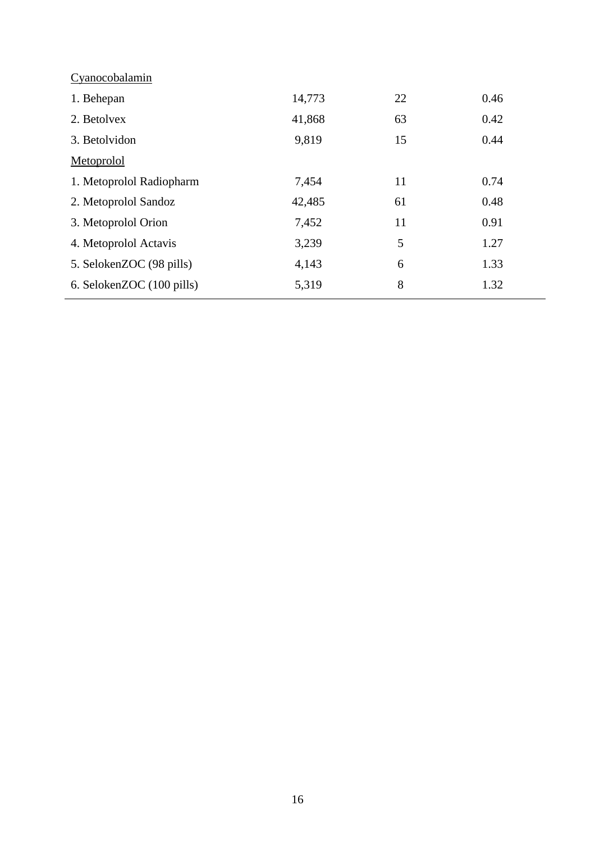| 14,773 | 22 | 0.46 |
|--------|----|------|
| 41,868 | 63 | 0.42 |
| 9,819  | 15 | 0.44 |
|        |    |      |
| 7,454  | 11 | 0.74 |
| 42,485 | 61 | 0.48 |
| 7,452  | 11 | 0.91 |
| 3,239  | 5  | 1.27 |
| 4,143  | 6  | 1.33 |
| 5,319  | 8  | 1.32 |
|        |    |      |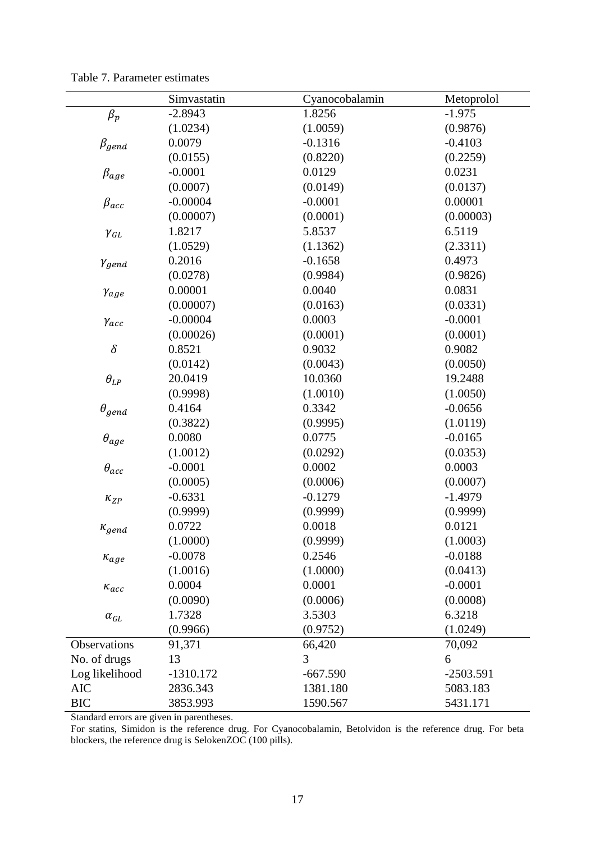|                 | Simvastatin | Cyanocobalamin | Metoprolol  |
|-----------------|-------------|----------------|-------------|
| $\beta_p$       | $-2.8943$   | 1.8256         | $-1.975$    |
|                 | (1.0234)    | (1.0059)       | (0.9876)    |
| $\beta_{gend}$  | 0.0079      | $-0.1316$      | $-0.4103$   |
|                 | (0.0155)    | (0.8220)       | (0.2259)    |
| $\beta_{age}$   | $-0.0001$   | 0.0129         | 0.0231      |
|                 | (0.0007)    | (0.0149)       | (0.0137)    |
| $\beta_{acc}$   | $-0.00004$  | $-0.0001$      | 0.00001     |
|                 | (0.00007)   | (0.0001)       | (0.00003)   |
| $\gamma_{GL}$   | 1.8217      | 5.8537         | 6.5119      |
|                 | (1.0529)    | (1.1362)       | (2.3311)    |
| $\gamma_{gend}$ | 0.2016      | $-0.1658$      | 0.4973      |
|                 | (0.0278)    | (0.9984)       | (0.9826)    |
| Yage            | 0.00001     | 0.0040         | 0.0831      |
|                 | (0.00007)   | (0.0163)       | (0.0331)    |
| $\gamma_{acc}$  | $-0.00004$  | 0.0003         | $-0.0001$   |
|                 | (0.00026)   | (0.0001)       | (0.0001)    |
| $\delta$        | 0.8521      | 0.9032         | 0.9082      |
|                 | (0.0142)    | (0.0043)       | (0.0050)    |
| $\theta_{LP}$   | 20.0419     | 10.0360        | 19.2488     |
|                 | (0.9998)    | (1.0010)       | (1.0050)    |
| $\theta_{gend}$ | 0.4164      | 0.3342         | $-0.0656$   |
|                 | (0.3822)    | (0.9995)       | (1.0119)    |
| $\theta_{age}$  | 0.0080      | 0.0775         | $-0.0165$   |
|                 | (1.0012)    | (0.0292)       | (0.0353)    |
| $\theta_{acc}$  | $-0.0001$   | 0.0002         | 0.0003      |
|                 | (0.0005)    | (0.0006)       | (0.0007)    |
| $\kappa_{ZP}$   | $-0.6331$   | $-0.1279$      | $-1.4979$   |
|                 | (0.9999)    | (0.9999)       | (0.9999)    |
| $\kappa_{gend}$ | 0.0722      | 0.0018         | 0.0121      |
|                 | (1.0000)    | (0.9999)       | (1.0003)    |
| $\kappa_{age}$  | $-0.0078$   | 0.2546         | $-0.0188$   |
|                 | (1.0016)    | (1.0000)       | (0.0413)    |
| $\kappa_{acc}$  | 0.0004      | 0.0001         | $-0.0001$   |
|                 | (0.0090)    | (0.0006)       | (0.0008)    |
| $\alpha_{GL}$   | 1.7328      | 3.5303         | 6.3218      |
|                 | (0.9966)    | (0.9752)       | (1.0249)    |
| Observations    | 91,371      | 66,420         | 70,092      |
| No. of drugs    | 13          | 3              | 6           |
| Log likelihood  | $-1310.172$ | $-667.590$     | $-2503.591$ |
| <b>AIC</b>      | 2836.343    | 1381.180       | 5083.183    |
| <b>BIC</b>      | 3853.993    | 1590.567       | 5431.171    |

Table 7. Parameter estimates

Standard errors are given in parentheses.

For statins, Simidon is the reference drug. For Cyanocobalamin, Betolvidon is the reference drug. For beta blockers, the reference drug is SelokenZOC (100 pills).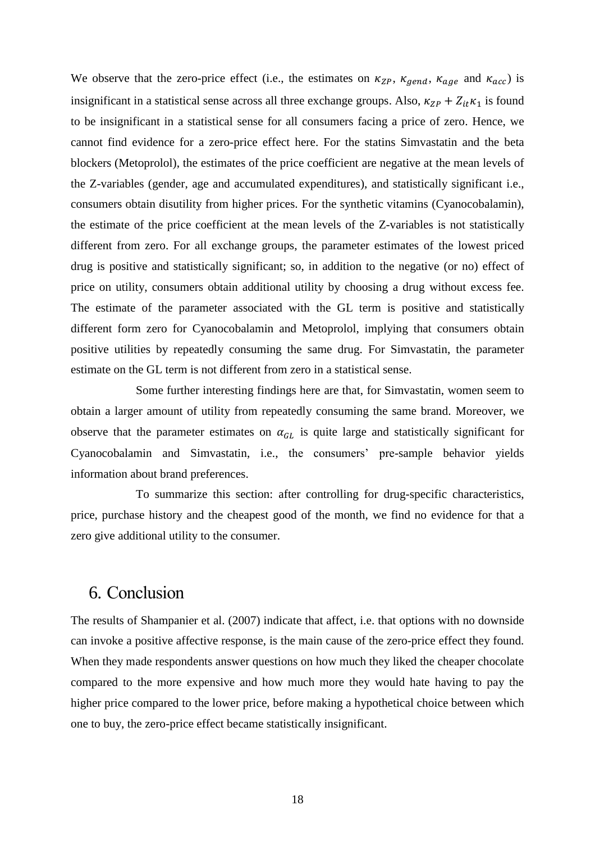We observe that the zero-price effect (i.e., the estimates on  $\kappa_{ZP}$ ,  $\kappa_{\text{gend}}$ ,  $\kappa_{\text{age}}$  and  $\kappa_{\text{acc}}$ ) is insignificant in a statistical sense across all three exchange groups. Also,  $\kappa_{ZP} + Z_{it}\kappa_1$  is found to be insignificant in a statistical sense for all consumers facing a price of zero. Hence, we cannot find evidence for a zero-price effect here. For the statins Simvastatin and the beta blockers (Metoprolol), the estimates of the price coefficient are negative at the mean levels of the Z-variables (gender, age and accumulated expenditures), and statistically significant i.e., consumers obtain disutility from higher prices. For the synthetic vitamins (Cyanocobalamin), the estimate of the price coefficient at the mean levels of the Z-variables is not statistically different from zero. For all exchange groups, the parameter estimates of the lowest priced drug is positive and statistically significant; so, in addition to the negative (or no) effect of price on utility, consumers obtain additional utility by choosing a drug without excess fee. The estimate of the parameter associated with the GL term is positive and statistically different form zero for Cyanocobalamin and Metoprolol, implying that consumers obtain positive utilities by repeatedly consuming the same drug. For Simvastatin, the parameter estimate on the GL term is not different from zero in a statistical sense.

Some further interesting findings here are that, for Simvastatin, women seem to obtain a larger amount of utility from repeatedly consuming the same brand. Moreover, we observe that the parameter estimates on  $\alpha_{GL}$  is quite large and statistically significant for Cyanocobalamin and Simvastatin, i.e., the consumers' pre-sample behavior yields information about brand preferences.

To summarize this section: after controlling for drug-specific characteristics, price, purchase history and the cheapest good of the month, we find no evidence for that a zero give additional utility to the consumer.

# 6. Conclusion

The results of Shampanier et al. (2007) indicate that affect, i.e. that options with no downside can invoke a positive affective response, is the main cause of the zero-price effect they found. When they made respondents answer questions on how much they liked the cheaper chocolate compared to the more expensive and how much more they would hate having to pay the higher price compared to the lower price, before making a hypothetical choice between which one to buy, the zero-price effect became statistically insignificant.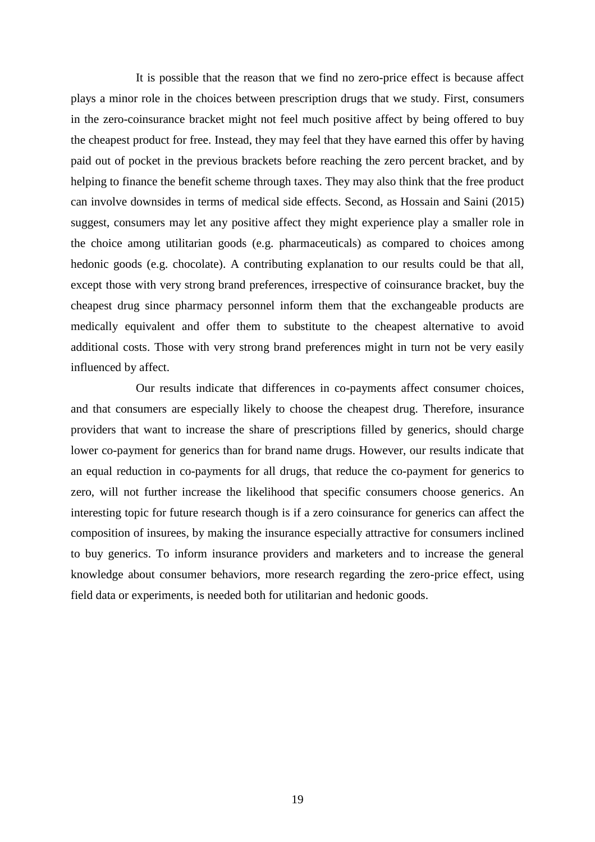It is possible that the reason that we find no zero-price effect is because affect plays a minor role in the choices between prescription drugs that we study. First, consumers in the zero-coinsurance bracket might not feel much positive affect by being offered to buy the cheapest product for free. Instead, they may feel that they have earned this offer by having paid out of pocket in the previous brackets before reaching the zero percent bracket, and by helping to finance the benefit scheme through taxes. They may also think that the free product can involve downsides in terms of medical side effects. Second, as Hossain and Saini (2015) suggest, consumers may let any positive affect they might experience play a smaller role in the choice among utilitarian goods (e.g. pharmaceuticals) as compared to choices among hedonic goods (e.g. chocolate). A contributing explanation to our results could be that all, except those with very strong brand preferences, irrespective of coinsurance bracket, buy the cheapest drug since pharmacy personnel inform them that the exchangeable products are medically equivalent and offer them to substitute to the cheapest alternative to avoid additional costs. Those with very strong brand preferences might in turn not be very easily influenced by affect.

Our results indicate that differences in co-payments affect consumer choices, and that consumers are especially likely to choose the cheapest drug. Therefore, insurance providers that want to increase the share of prescriptions filled by generics, should charge lower co-payment for generics than for brand name drugs. However, our results indicate that an equal reduction in co-payments for all drugs, that reduce the co-payment for generics to zero, will not further increase the likelihood that specific consumers choose generics. An interesting topic for future research though is if a zero coinsurance for generics can affect the composition of insurees, by making the insurance especially attractive for consumers inclined to buy generics. To inform insurance providers and marketers and to increase the general knowledge about consumer behaviors, more research regarding the zero-price effect, using field data or experiments, is needed both for utilitarian and hedonic goods.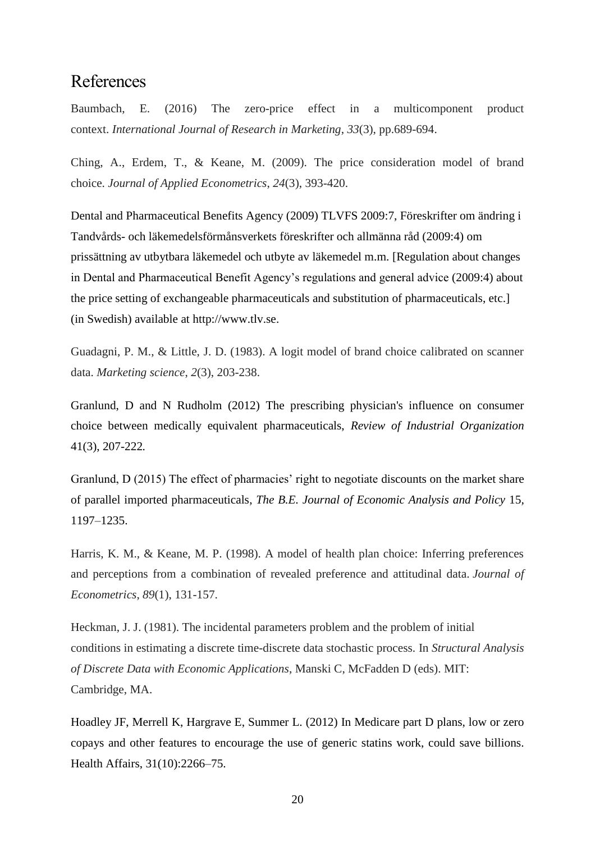# References

Baumbach, E. (2016) The zero-price effect in a multicomponent product context. *International Journal of Research in Marketing*, *33*(3), pp.689-694.

Ching, A., Erdem, T., & Keane, M. (2009). The price consideration model of brand choice. *Journal of Applied Econometrics*, *24*(3), 393-420.

Dental and Pharmaceutical Benefits Agency (2009) TLVFS 2009:7, Föreskrifter om ändring i Tandvårds- och läkemedelsförmånsverkets föreskrifter och allmänna råd (2009:4) om prissättning av utbytbara läkemedel och utbyte av läkemedel m.m. [Regulation about changes in Dental and Pharmaceutical Benefit Agency's regulations and general advice (2009:4) about the price setting of exchangeable pharmaceuticals and substitution of pharmaceuticals, etc.] (in Swedish) available at http://www.tlv.se.

Guadagni, P. M., & Little, J. D. (1983). A logit model of brand choice calibrated on scanner data. *Marketing science*, *2*(3), 203-238.

Granlund, D and N Rudholm (2012) The prescribing physician's influence on consumer choice between medically equivalent pharmaceuticals, *Review of Industrial Organization* 41(3), 207-222*.*

Granlund, D (2015) The effect of pharmacies' right to negotiate discounts on the market share of parallel imported pharmaceuticals, *The B.E. Journal of Economic Analysis and Policy* 15*,* 1197–1235.

Harris, K. M., & Keane, M. P. (1998). A model of health plan choice: Inferring preferences and perceptions from a combination of revealed preference and attitudinal data. *Journal of Econometrics*, *89*(1), 131-157.

Heckman, J. J. (1981). The incidental parameters problem and the problem of initial conditions in estimating a discrete time-discrete data stochastic process. In *Structural Analysis of Discrete Data with Economic Applications*, Manski C, McFadden D (eds). MIT: Cambridge, MA.

Hoadley JF, Merrell K, Hargrave E, Summer L. (2012) In Medicare part D plans, low or zero copays and other features to encourage the use of generic statins work, could save billions. Health Affairs, 31(10):2266–75.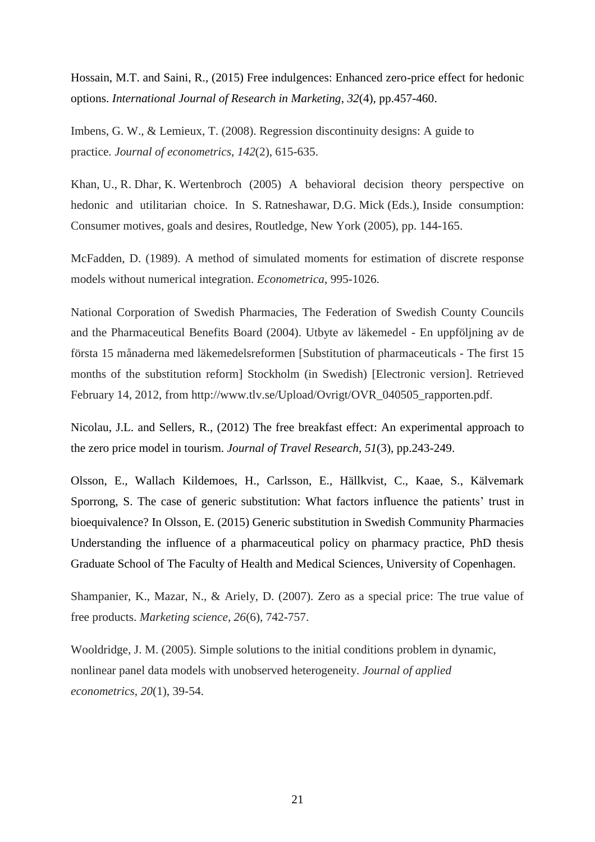Hossain, M.T. and Saini, R., (2015) Free indulgences: Enhanced zero-price effect for hedonic options. *International Journal of Research in Marketing*, *32*(4), pp.457-460.

Imbens, G. W., & Lemieux, T. (2008). Regression discontinuity designs: A guide to practice. *Journal of econometrics*, *142*(2), 615-635.

Khan, U., R. Dhar, K. Wertenbroch (2005) A behavioral decision theory perspective on hedonic and utilitarian choice. In S. Ratneshawar, D.G. Mick (Eds.), Inside consumption: Consumer motives, goals and desires, Routledge, New York (2005), pp. 144-165.

McFadden, D. (1989). A method of simulated moments for estimation of discrete response models without numerical integration. *Econometrica*, 995-1026.

National Corporation of Swedish Pharmacies, The Federation of Swedish County Councils and the Pharmaceutical Benefits Board (2004). Utbyte av läkemedel - En uppföljning av de första 15 månaderna med läkemedelsreformen [Substitution of pharmaceuticals - The first 15 months of the substitution reform] Stockholm (in Swedish) [Electronic version]. Retrieved February 14, 2012, from http://www.tlv.se/Upload/Ovrigt/OVR\_040505\_rapporten.pdf.

Nicolau, J.L. and Sellers, R., (2012) The free breakfast effect: An experimental approach to the zero price model in tourism. *Journal of Travel Research*, *51*(3), pp.243-249.

Olsson, E., Wallach Kildemoes, H., Carlsson, E., Hällkvist, C., Kaae, S., Kälvemark Sporrong, S. The case of generic substitution: What factors influence the patients' trust in bioequivalence? In Olsson, E. (2015) Generic substitution in Swedish Community Pharmacies Understanding the influence of a pharmaceutical policy on pharmacy practice, PhD thesis Graduate School of The Faculty of Health and Medical Sciences, University of Copenhagen.

Shampanier, K., Mazar, N., & Ariely, D. (2007). Zero as a special price: The true value of free products. *Marketing science*, *26*(6), 742-757.

Wooldridge, J. M. (2005). Simple solutions to the initial conditions problem in dynamic, nonlinear panel data models with unobserved heterogeneity. *Journal of applied econometrics*, *20*(1), 39-54.